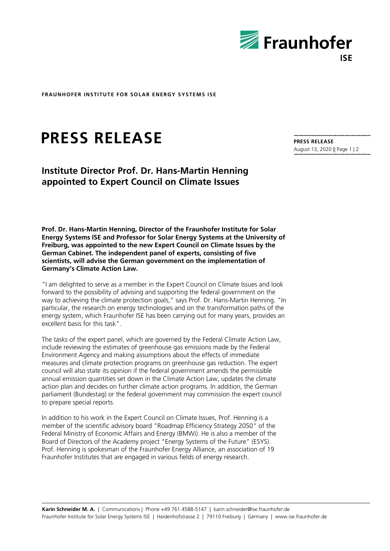

**FRAUNHOFER INSTITUTE FOR SOLAR ENERGY SYSTEMS ISE**

## **PRESS RELEASE**

## **Institute Director Prof. Dr. Hans-Martin Henning appointed to Expert Council on Climate Issues**

**Prof. Dr. Hans-Martin Henning, Director of the Fraunhofer Institute for Solar Energy Systems ISE and Professor for Solar Energy Systems at the University of Freiburg, was appointed to the new Expert Council on Climate Issues by the German Cabinet. The independent panel of experts, consisting of five scientists, will advise the German government on the implementation of Germany's Climate Action Law.**

"I am delighted to serve as a member in the Expert Council on Climate Issues and look forward to the possibility of advising and supporting the federal government on the way to achieving the climate protection goals," says Prof. Dr. Hans-Martin Henning. "In particular, the research on energy technologies and on the transformation paths of the energy system, which Fraunhofer ISE has been carrying out for many years, provides an excellent basis for this task".

The tasks of the expert panel, which are governed by the Federal Climate Action Law, include reviewing the estimates of greenhouse gas emissions made by the Federal Environment Agency and making assumptions about the effects of immediate measures and climate protection programs on greenhouse gas reduction. The expert council will also state its opinion if the federal government amends the permissible annual emission quantities set down in the Climate Action Law, updates the climate action plan and decides on further climate action programs. In addition, the German parliament (Bundestag) or the federal government may commission the expert council to prepare special reports.

In addition to his work in the Expert Council on Climate Issues, Prof. Henning is a member of the scientific advisory board "Roadmap Efficiency Strategy 2050" of the Federal Ministry of Economic Affairs and Energy (BMWi). He is also a member of the Board of Directors of the Academy project "Energy Systems of the Future" (ESYS). Prof. Henning is spokesman of the Fraunhofer Energy Alliance, an association of 19 Fraunhofer Institutes that are engaged in various fields of energy research.

**PRESS RELEASE** August 13, 2020 || Page 1 | 2